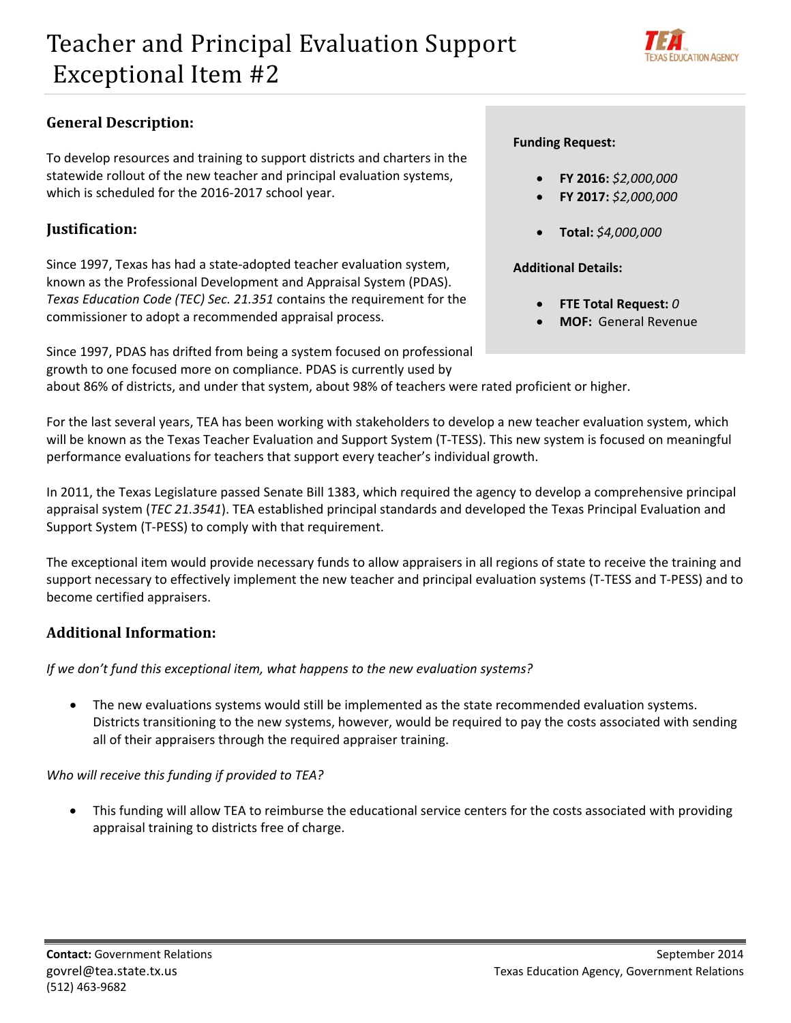

# **General Description:**

 To develop resources and training to support districts and charters in the statewide rollout of the new teacher and principal evaluation systems, which is scheduled for the 2016‐2017 school year.

### **Justification:**

 Since 1997, Texas has had a state‐adopted teacher evaluation system, known as the Professional Development and Appraisal System (PDAS).  *Texas Education Code (TEC) Sec. 21.351* contains the requirement for the commissioner to adopt a recommended appraisal process.

 Since 1997, PDAS has drifted from being a system focused on professional growth to one focused more on compliance. PDAS is currently used by

#### **Funding Request:**

- **FY 2016:** *\$2,000,000*
- **FY 2017:** *\$2,000,000*
- **Total:** *\$4,000,000*

### **Additional Details:**

- **FTE Total Request:** *0*
- **MOF:** General Revenue

about 86% of districts, and under that system, about 98% of teachers were rated proficient or higher.

 For the last several years, TEA has been working with stakeholders to develop a new teacher evaluation system, which will be known as the Texas Teacher Evaluation and Support System (T‐TESS). This new system is focused on meaningful performance evaluations for teachers that support every teacher's individual growth.

 In 2011, the Texas Legislature passed Senate Bill 1383, which required the agency to develop a comprehensive principal appraisal system (*TEC 21.3541*). TEA established principal standards and developed the Texas Principal Evaluation and Support System (T‐PESS) to comply with that requirement.

 The exceptional item would provide necessary funds to allow appraisers in all regions of state to receive the training and support necessary to effectively implement the new teacher and principal evaluation systems (T‐TESS and T‐PESS) and to become certified appraisers.

# **Additional Information:**

 *If we don't fund this exceptional item, what happens to the new evaluation systems?*

 The new evaluations systems would still be implemented as the state recommended evaluation systems. Districts transitioning to the new systems, however, would be required to pay the costs associated with sending all of their appraisers through the required appraiser training.

 *Who will receive this funding if provided to TEA?*

 This funding will allow TEA to reimburse the educational service centers for the costs associated with providing appraisal training to districts free of charge.